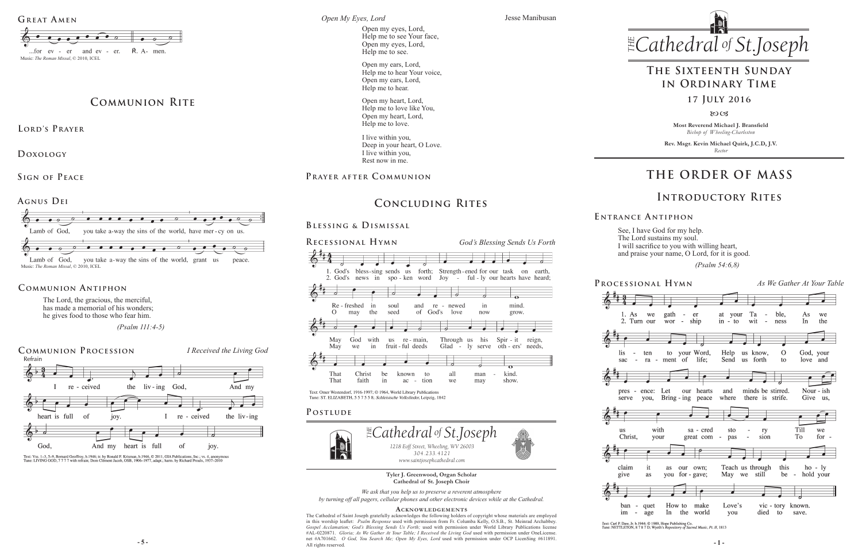**Most Reverend Michael J. Bransfield** *Bishop of Wheeling-Charleston*

**Rev. Msgr. Kevin Michael Quirk, J.C.D, J.V.** *Rector*



 *(Psalm 54:6,8)* 

**Tyler J. Greenwood, Organ Scholar Cathedral of St. Joseph Choir**

*We ask that you help us to preserve a reverent atmosphere by turning off all pagers, cellular phones and other electronic devices while at the Cathedral.*

### **Acknowledgement s**

**5 - 5** - **1** - **1** - **1** - **1** - **1** - **1** - **1** - **1** - **1** - **1** - **1** - **1** - **1** - **1** - **1** - **1** - **1** - **1** - **1** - **1** - **1** - **1** - **1** - **1** - **1** - **1** - **1** - **1** - **1** - **1** - **1** - **1** - **1** - **1** - **1** - The Cathedral of Saint Joseph gratefully acknowledges the following holders of copyright whose materials are employed in this worship leaflet: *Psalm Response* used with permission from Fr. Columba Kelly, O.S.B., St. Meinrad Archabbey. *Gospel Acclamation; God's Blessing Sends Us Forth;* used with permission under World Library Publications license #AL-0220871. *Gloria; As We Gather At Your Table; I Received the Living God* used with permission under OneLicense. All rights reserved.

**Processional Hymn** *As We Gather At Your Table*  $1. As$  we gath - er at your Ta  $-$  ble,  $As$ we 2. Turn our wor - ship  $in - to$ wit  $\sim$ ness  $In$ the Help  $\overline{O}$ to your Word, us know, God, your  $\sim$ ten  $-$  ra  $-$  ment of life; Send us forth to love and Nour - ish pres - ence: Let our hearts and minds be stirred. serve you, Bring - ing peace where there is strife. Give us, with Till we sa - cred sto  $\sim$ ry great com - $\sim$ To for your pas sion  $\overline{\phantom{a}}$ it as our own; Teach us through this  $ho - ly$ as you for - gave; May we still be hold your  $\sim$ - quet How to make Love's vic - tory known. im - age  $In$ the world died to you save.

Text: Carl P. Daw, Jr. b.1944; © 1989, Hope Publishing Co.<br>Tune: NETTLETON, 8 7 8 7 D; Wyeth's Repository of Sacred Music, Pt. II, 1813

*Cyes, Lord*<br>Open my eyes, Lord, *of .Joseph* Help me to see Your face, Open my eyes, Lord, Help me to see.



The Lord, the gracious, the merciful, has made a memorial of his wonders; he gives food to those who fear him.



# **THE ORDER OF MASS**

## **E ntrance A ntiphon**

I have God for my help. Lord sustains my soul. sacrifice to you with willing heart, praise your name, O Lord, for it is good.

## **Introductory Rites**

# **The Sixteenth Sunday in Ordinary Time**

8003

## **Communion Antiphon**

# **Concluding Rites**

## **Blessing & Dismissal**



## *of .Joseph* Jesse Manibusan

| See,   |
|--------|
| The I  |
| I will |
| and p  |



**Lord's Prayer**



















Text: Vss. 1-3, 5-9, Bernard Geoffroy, b.1946; tr. by Ronald F. Krisman, b.1946, © 2011, GIA Publications, Inc.; vs. 4, anonymous<br>Tune: LIVING GOD, 7777 with refrain; Dom Clément Jacob, OSB, 1906-1977, adapt.; harm. by Ric

### *Open My Eyes, Lord*

**Doxology** 

**Sign of Peace** 

Music: *The Roman Missal*, © 2010, ICEL





# **COMMUNION RITE** <sup>Open my heart, Lord, <sup>17</sup> JULY 2016</sup>



Open my ears, Lord, Help me to hear Your voice, Open my ears, Lord, Help me to hear.

Open my heart, Lord, Help me to love like You, Open my heart, Lord, Help me to love.

I live within you, Deep in your heart, O Love. I live within you, Rest now in me.

## **Prayer after C ommunion**